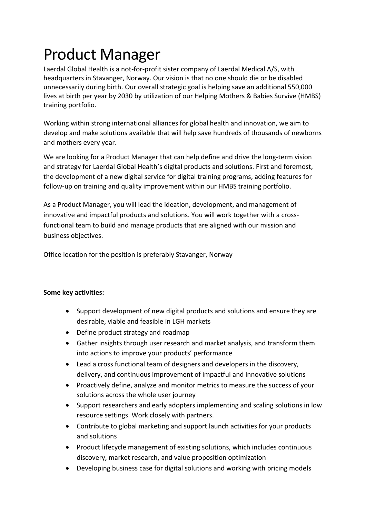## Product Manager

Laerdal Global Health is a not-for-profit sister company of Laerdal Medical A/S, with headquarters in Stavanger, Norway. Our vision is that no one should die or be disabled unnecessarily during birth. Our overall strategic goal is helping save an additional 550,000 lives at birth per year by 2030 by utilization of our Helping Mothers & Babies Survive (HMBS) training portfolio.

Working within strong international alliances for global health and innovation, we aim to develop and make solutions available that will help save hundreds of thousands of newborns and mothers every year.

We are looking for a Product Manager that can help define and drive the long-term vision and strategy for Laerdal Global Health's digital products and solutions. First and foremost, the development of a new digital service for digital training programs, adding features for follow-up on training and quality improvement within our HMBS training portfolio.

As a Product Manager, you will lead the ideation, development, and management of innovative and impactful products and solutions. You will work together with a crossfunctional team to build and manage products that are aligned with our mission and business objectives.

Office location for the position is preferably Stavanger, Norway

## **Some key activities:**

- Support development of new digital products and solutions and ensure they are desirable, viable and feasible in LGH markets
- Define product strategy and roadmap
- Gather insights through user research and market analysis, and transform them into actions to improve your products' performance
- Lead a cross functional team of designers and developers in the discovery, delivery, and continuous improvement of impactful and innovative solutions
- Proactively define, analyze and monitor metrics to measure the success of your solutions across the whole user journey
- Support researchers and early adopters implementing and scaling solutions in low resource settings. Work closely with partners.
- Contribute to global marketing and support launch activities for your products and solutions
- Product lifecycle management of existing solutions, which includes continuous discovery, market research, and value proposition optimization
- Developing business case for digital solutions and working with pricing models